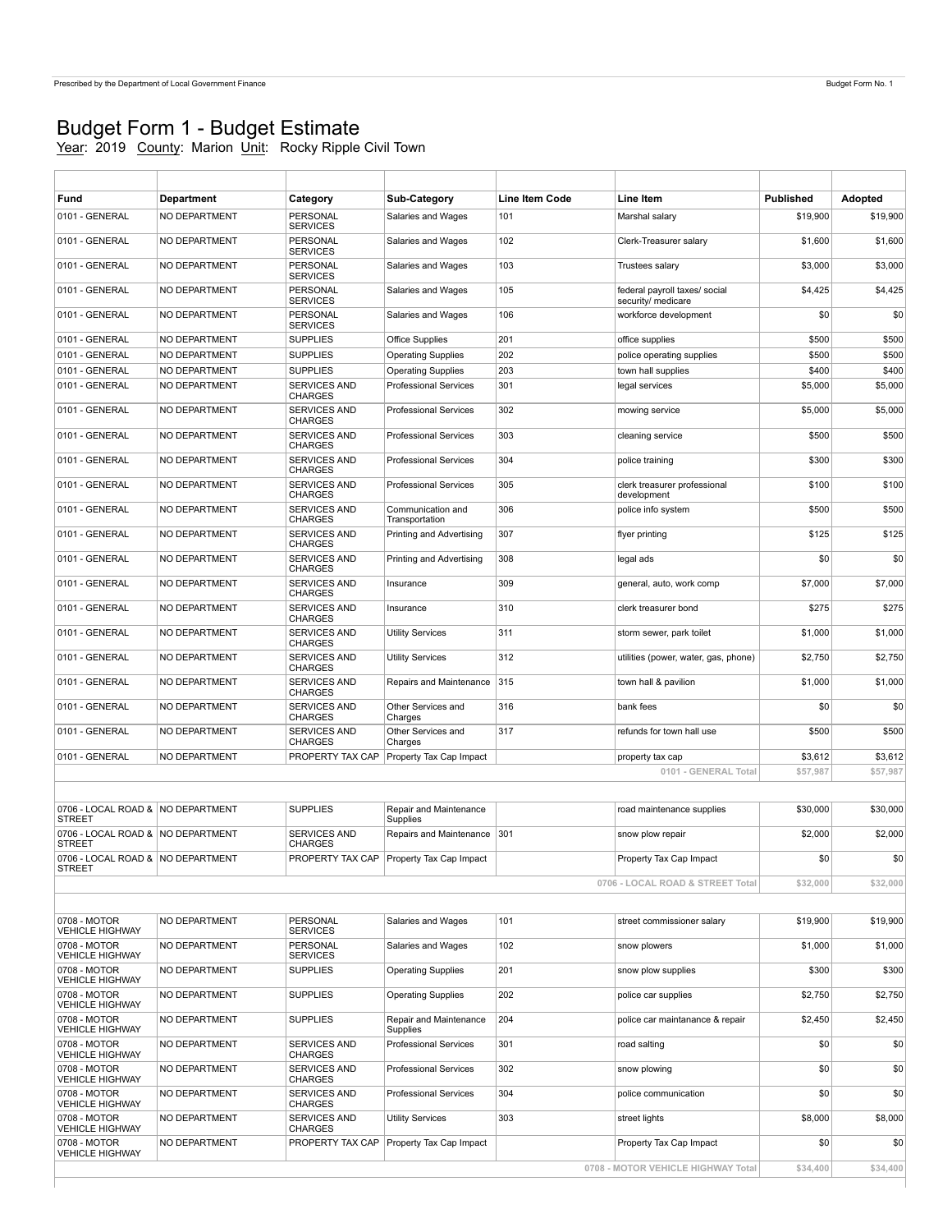r

## Budget Form 1 - Budget Estimate

Year: 2019 County: Marion Unit: Rocky Ripple Civil Town

| Fund                                               | <b>Department</b> | Category                              | Sub-Category                               | <b>Line Item Code</b> | Line Item                                           | <b>Published</b> | Adopted  |
|----------------------------------------------------|-------------------|---------------------------------------|--------------------------------------------|-----------------------|-----------------------------------------------------|------------------|----------|
| 0101 - GENERAL                                     | NO DEPARTMENT     | PERSONAL<br><b>SERVICES</b>           | Salaries and Wages                         | 101                   | Marshal salary                                      | \$19,900         | \$19,900 |
| 0101 - GENERAL                                     | NO DEPARTMENT     | PERSONAL<br><b>SERVICES</b>           | Salaries and Wages                         | 102                   | Clerk-Treasurer salary                              | \$1,600          | \$1,600  |
| 0101 - GENERAL                                     | NO DEPARTMENT     | PERSONAL<br><b>SERVICES</b>           | Salaries and Wages                         | 103                   | Trustees salary                                     | \$3,000          | \$3,000  |
| 0101 - GENERAL                                     | NO DEPARTMENT     | PERSONAL<br><b>SERVICES</b>           | Salaries and Wages                         | 105                   | federal payroll taxes/ social<br>security/ medicare | \$4,425          | \$4,425  |
| 0101 - GENERAL                                     | NO DEPARTMENT     | PERSONAL<br><b>SERVICES</b>           | Salaries and Wages                         | 106                   | workforce development                               | \$0              | \$0      |
| 0101 - GENERAL                                     | NO DEPARTMENT     | <b>SUPPLIES</b>                       | Office Supplies                            | 201                   | office supplies                                     | \$500            | \$500    |
| 0101 - GENERAL                                     | NO DEPARTMENT     | <b>SUPPLIES</b>                       | <b>Operating Supplies</b>                  | 202                   | police operating supplies                           | \$500            | \$500    |
| 0101 - GENERAL                                     | NO DEPARTMENT     | <b>SUPPLIES</b>                       | <b>Operating Supplies</b>                  | 203                   | town hall supplies                                  | \$400            | \$400    |
| 0101 - GENERAL                                     | NO DEPARTMENT     | SERVICES AND<br>CHARGES               | <b>Professional Services</b>               | 301                   | legal services                                      | \$5,000          | \$5,000  |
| 0101 - GENERAL                                     | NO DEPARTMENT     | SERVICES AND<br><b>CHARGES</b>        | <b>Professional Services</b>               | 302                   | mowing service                                      | \$5,000          | \$5,000  |
| 0101 - GENERAL                                     | NO DEPARTMENT     | SERVICES AND<br><b>CHARGES</b>        | <b>Professional Services</b>               | 303                   | cleaning service                                    | \$500            | \$500    |
| 0101 - GENERAL                                     | NO DEPARTMENT     | SERVICES AND<br><b>CHARGES</b>        | <b>Professional Services</b>               | 304                   | police training                                     | \$300            | \$300    |
| 0101 - GENERAL                                     | NO DEPARTMENT     | <b>SERVICES AND</b><br><b>CHARGES</b> | <b>Professional Services</b>               | 305                   | clerk treasurer professional<br>development         | \$100            | \$100    |
| 0101 - GENERAL                                     | NO DEPARTMENT     | SERVICES AND<br><b>CHARGES</b>        | Communication and                          | 306                   | police info system                                  | \$500            | \$500    |
| 0101 - GENERAL                                     | NO DEPARTMENT     | <b>SERVICES AND</b>                   | Transportation<br>Printing and Advertising | 307                   | flyer printing                                      | \$125            | \$125    |
| 0101 - GENERAL                                     | NO DEPARTMENT     | <b>CHARGES</b><br><b>SERVICES AND</b> | Printing and Advertising                   | 308                   | legal ads                                           | \$0              | \$0      |
| 0101 - GENERAL                                     | NO DEPARTMENT     | <b>CHARGES</b><br>SERVICES AND        | Insurance                                  | 309                   | general, auto, work comp                            | \$7,000          | \$7,000  |
| 0101 - GENERAL                                     | NO DEPARTMENT     | <b>CHARGES</b><br>SERVICES AND        | Insurance                                  | 310                   | clerk treasurer bond                                | \$275            | \$275    |
| 0101 - GENERAL                                     | NO DEPARTMENT     | <b>CHARGES</b><br>SERVICES AND        | <b>Utility Services</b>                    | 311                   | storm sewer, park toilet                            | \$1,000          | \$1,000  |
| 0101 - GENERAL                                     | NO DEPARTMENT     | <b>CHARGES</b><br><b>SERVICES AND</b> | <b>Utility Services</b>                    | 312                   | utilities (power, water, gas, phone)                | \$2,750          | \$2,750  |
| 0101 - GENERAL                                     | NO DEPARTMENT     | <b>CHARGES</b><br>SERVICES AND        | Repairs and Maintenance                    | 315                   | town hall & pavilion                                | \$1,000          | \$1,000  |
| 0101 - GENERAL                                     | NO DEPARTMENT     | <b>CHARGES</b><br>SERVICES AND        | Other Services and                         | 316                   | bank fees                                           | \$0              | \$0      |
| 0101 - GENERAL                                     | NO DEPARTMENT     | <b>CHARGES</b><br><b>SERVICES AND</b> | Charges<br>Other Services and              | 317                   | refunds for town hall use                           | \$500            | \$500    |
|                                                    |                   | <b>CHARGES</b>                        | Charges                                    |                       |                                                     |                  |          |
| 0101 - GENERAL                                     | NO DEPARTMENT     | PROPERTY TAX CAP                      | Property Tax Cap Impact                    |                       | property tax cap                                    | \$3,612          | \$3,612  |
|                                                    |                   |                                       |                                            |                       | 0101 - GENERAL Total                                | \$57,987         | \$57,987 |
|                                                    |                   |                                       |                                            |                       |                                                     |                  |          |
| 0706 - LOCAL ROAD & NO DEPARTMENT<br><b>STREET</b> |                   | <b>SUPPLIES</b>                       | Repair and Maintenance<br>Supplies         |                       | road maintenance supplies                           | \$30,000         | \$30,000 |
| 0706 - LOCAL ROAD & NO DEPARTMENT<br><b>STREET</b> |                   | SERVICES AND<br><b>CHARGES</b>        | Repairs and Maintenance                    | 301                   | snow plow repair                                    | \$2,000          | \$2,000  |
| 0706 - LOCAL ROAD & NO DEPARTMENT<br><b>STREET</b> |                   |                                       | PROPERTY TAX CAP   Property Tax Cap Impact |                       | Property Tax Cap Impact                             | \$0              | \$0      |
|                                                    |                   |                                       |                                            |                       | 0706 - LOCAL ROAD & STREET Total                    | \$32,000         | \$32,000 |
|                                                    |                   |                                       |                                            |                       |                                                     |                  |          |
| 0708 - MOTOR<br><b>VEHICLE HIGHWAY</b>             | NO DEPARTMENT     | PERSONAL<br><b>SERVICES</b>           | Salaries and Wages                         | 101                   | street commissioner salary                          | \$19,900         | \$19,900 |
| 0708 - MOTOR<br><b>VEHICLE HIGHWAY</b>             | NO DEPARTMENT     | PERSONAL<br><b>SERVICES</b>           | Salaries and Wages                         | 102                   | snow plowers                                        | \$1,000          | \$1,000  |
| 0708 - MOTOR                                       | NO DEPARTMENT     | <b>SUPPLIES</b>                       | <b>Operating Supplies</b>                  | 201                   | snow plow supplies                                  | \$300            | \$300    |
| <b>VEHICLE HIGHWAY</b><br>0708 - MOTOR             | NO DEPARTMENT     | <b>SUPPLIES</b>                       | <b>Operating Supplies</b>                  | 202                   | police car supplies                                 | \$2,750          | \$2,750  |
| <b>VEHICLE HIGHWAY</b><br>0708 - MOTOR             | NO DEPARTMENT     | <b>SUPPLIES</b>                       | Repair and Maintenance                     | 204                   | police car maintanance & repair                     | \$2,450          | \$2,450  |
| <b>VEHICLE HIGHWAY</b><br>0708 - MOTOR             | NO DEPARTMENT     | SERVICES AND                          | Supplies<br><b>Professional Services</b>   | 301                   | road salting                                        | \$0              | \$0      |
| <b>VEHICLE HIGHWAY</b><br>0708 - MOTOR             | NO DEPARTMENT     | CHARGES<br>SERVICES AND               | <b>Professional Services</b>               | 302                   | snow plowing                                        | \$0              | \$0      |
| <b>VEHICLE HIGHWAY</b><br>0708 - MOTOR             | NO DEPARTMENT     | CHARGES<br>SERVICES AND               | <b>Professional Services</b>               | 304                   | police communication                                | \$0              | \$0      |
| <b>VEHICLE HIGHWAY</b>                             |                   | <b>CHARGES</b>                        |                                            |                       |                                                     |                  |          |
| 0708 - MOTOR<br><b>VEHICLE HIGHWAY</b>             | NO DEPARTMENT     | SERVICES AND<br>CHARGES               | <b>Utility Services</b>                    | 303                   | street lights                                       | \$8,000          | \$8,000  |
| 0708 - MOTOR<br><b>VEHICLE HIGHWAY</b>             | NO DEPARTMENT     | PROPERTY TAX CAP                      | Property Tax Cap Impact                    |                       | Property Tax Cap Impact                             | \$0              | \$0      |
|                                                    |                   |                                       |                                            |                       | 0708 - MOTOR VEHICLE HIGHWAY Total                  | \$34,400         | \$34,400 |